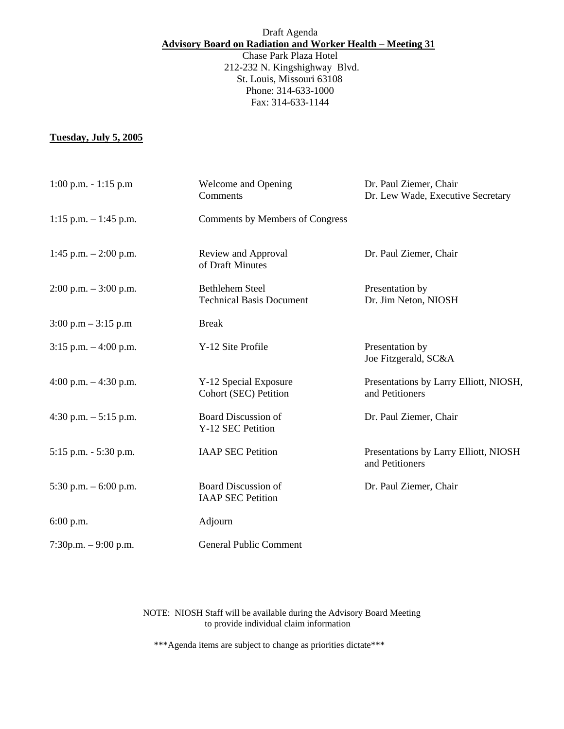## Draft Agenda **Advisory Board on Radiation and Worker Health – Meeting 31**

Chase Park Plaza Hotel 212-232 N. Kingshighway Blvd. St. Louis, Missouri 63108 Phone: 314-633-1000 Fax: 314-633-1144

## **Tuesday, July 5, 2005**

| $1:00$ p.m. $-1:15$ p.m               | Welcome and Opening<br>Comments                           | Dr. Paul Ziemer, Chair<br>Dr. Lew Wade, Executive Secretary |
|---------------------------------------|-----------------------------------------------------------|-------------------------------------------------------------|
| $1:15$ p.m. $-1:45$ p.m.              | Comments by Members of Congress                           |                                                             |
| 1:45 p.m. $- 2:00$ p.m.               | Review and Approval<br>of Draft Minutes                   | Dr. Paul Ziemer, Chair                                      |
| $2:00$ p.m. $-3:00$ p.m.              | <b>Bethlehem Steel</b><br><b>Technical Basis Document</b> | Presentation by<br>Dr. Jim Neton, NIOSH                     |
| $3:00 \text{ p.m} - 3:15 \text{ p.m}$ | <b>Break</b>                                              |                                                             |
| $3:15$ p.m. $-4:00$ p.m.              | Y-12 Site Profile                                         | Presentation by<br>Joe Fitzgerald, SC&A                     |
| 4:00 p.m. $-4:30$ p.m.                | Y-12 Special Exposure<br>Cohort (SEC) Petition            | Presentations by Larry Elliott, NIOSH,<br>and Petitioners   |
| 4:30 p.m. $-5:15$ p.m.                | <b>Board Discussion of</b><br>Y-12 SEC Petition           | Dr. Paul Ziemer, Chair                                      |
| 5:15 p.m. - 5:30 p.m.                 | <b>IAAP SEC Petition</b>                                  | Presentations by Larry Elliott, NIOSH<br>and Petitioners    |
| 5:30 p.m. $-6:00$ p.m.                | <b>Board Discussion of</b><br><b>IAAP SEC Petition</b>    | Dr. Paul Ziemer, Chair                                      |
| 6:00 p.m.                             | Adjourn                                                   |                                                             |
| $7:30p.m. - 9:00 p.m.$                | <b>General Public Comment</b>                             |                                                             |

NOTE: NIOSH Staff will be available during the Advisory Board Meeting to provide individual claim information

\*\*\*Agenda items are subject to change as priorities dictate\*\*\*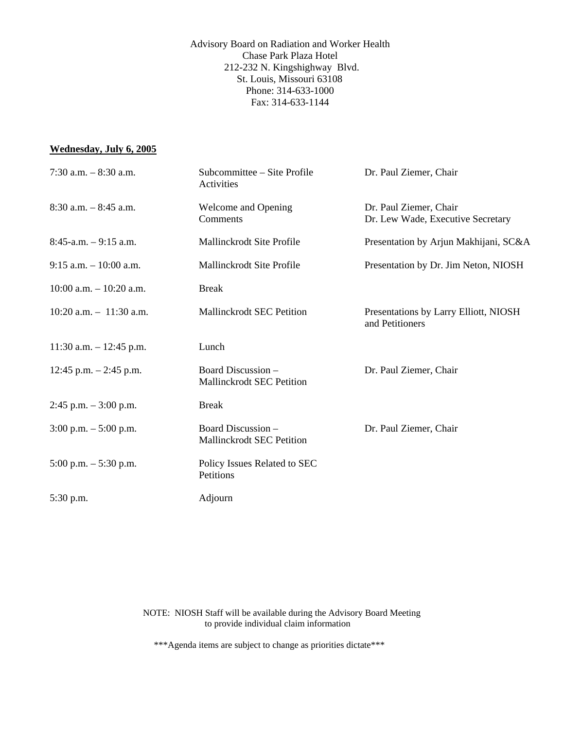Advisory Board on Radiation and Worker Health Chase Park Plaza Hotel 212-232 N. Kingshighway Blvd. St. Louis, Missouri 63108 Phone: 314-633-1000 Fax: 314-633-1144

## **Wednesday, July 6, 2005**

| 7:30 a.m. $-8:30$ a.m.     | Subcommittee – Site Profile<br>Activities       | Dr. Paul Ziemer, Chair                                      |
|----------------------------|-------------------------------------------------|-------------------------------------------------------------|
| $8:30$ a.m. $-8:45$ a.m.   | Welcome and Opening<br>Comments                 | Dr. Paul Ziemer, Chair<br>Dr. Lew Wade, Executive Secretary |
| $8:45-a.m. - 9:15 a.m.$    | Mallinckrodt Site Profile                       | Presentation by Arjun Makhijani, SC&A                       |
| $9:15$ a.m. $-10:00$ a.m.  | Mallinckrodt Site Profile                       | Presentation by Dr. Jim Neton, NIOSH                        |
| $10:00$ a.m. $-10:20$ a.m. | <b>Break</b>                                    |                                                             |
| $10:20$ a.m. $-11:30$ a.m. | <b>Mallinckrodt SEC Petition</b>                | Presentations by Larry Elliott, NIOSH<br>and Petitioners    |
| $11:30$ a.m. $-12:45$ p.m. | Lunch                                           |                                                             |
| 12:45 p.m. $-$ 2:45 p.m.   | Board Discussion -<br>Mallinckrodt SEC Petition | Dr. Paul Ziemer, Chair                                      |
| $2:45$ p.m. $-3:00$ p.m.   | <b>Break</b>                                    |                                                             |
| $3:00$ p.m. $-5:00$ p.m.   | Board Discussion -<br>Mallinckrodt SEC Petition | Dr. Paul Ziemer, Chair                                      |
| $5:00$ p.m. $-5:30$ p.m.   | Policy Issues Related to SEC<br>Petitions       |                                                             |
| $5:30$ p.m.                | Adjourn                                         |                                                             |

NOTE: NIOSH Staff will be available during the Advisory Board Meeting to provide individual claim information

\*\*\*Agenda items are subject to change as priorities dictate\*\*\*